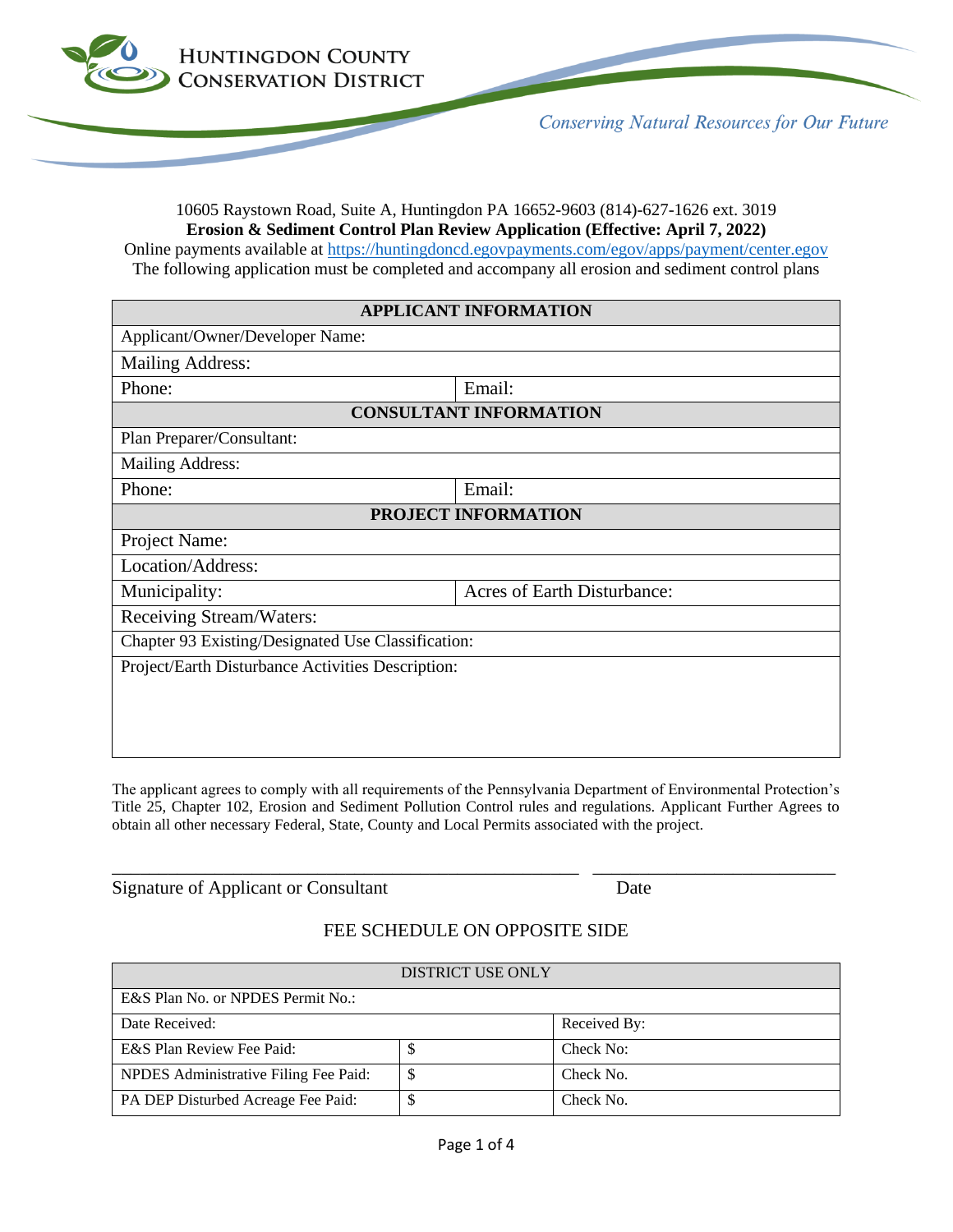

10605 Raystown Road, Suite A, Huntingdon PA 16652-9603 (814)-627-1626 ext. 3019 **Erosion & Sediment Control Plan Review Application (Effective: April 7, 2022)** Online payments available at<https://huntingdoncd.egovpayments.com/egov/apps/payment/center.egov> The following application must be completed and accompany all erosion and sediment control plans

| <b>APPLICANT INFORMATION</b>                       |                             |  |  |  |
|----------------------------------------------------|-----------------------------|--|--|--|
| Applicant/Owner/Developer Name:                    |                             |  |  |  |
| <b>Mailing Address:</b>                            |                             |  |  |  |
| Phone:                                             | Email:                      |  |  |  |
| <b>CONSULTANT INFORMATION</b>                      |                             |  |  |  |
| Plan Preparer/Consultant:                          |                             |  |  |  |
| <b>Mailing Address:</b>                            |                             |  |  |  |
| Phone:                                             | Email:                      |  |  |  |
|                                                    | PROJECT INFORMATION         |  |  |  |
| Project Name:                                      |                             |  |  |  |
| Location/Address:                                  |                             |  |  |  |
| Municipality:                                      | Acres of Earth Disturbance: |  |  |  |
| Receiving Stream/Waters:                           |                             |  |  |  |
| Chapter 93 Existing/Designated Use Classification: |                             |  |  |  |
| Project/Earth Disturbance Activities Description:  |                             |  |  |  |
|                                                    |                             |  |  |  |
|                                                    |                             |  |  |  |
|                                                    |                             |  |  |  |

The applicant agrees to comply with all requirements of the Pennsylvania Department of Environmental Protection's Title 25, Chapter 102, Erosion and Sediment Pollution Control rules and regulations. Applicant Further Agrees to obtain all other necessary Federal, State, County and Local Permits associated with the project.

\_\_\_\_\_\_\_\_\_\_\_\_\_\_\_\_\_\_\_\_\_\_\_\_\_\_\_\_\_\_\_\_\_\_\_\_\_\_\_\_\_\_\_\_\_\_\_\_\_\_ \_\_\_\_\_\_\_\_\_\_\_\_\_\_\_\_\_\_\_\_\_\_\_\_\_\_

Signature of Applicant or Consultant Date

## FEE SCHEDULE ON OPPOSITE SIDE

| <b>DISTRICT USE ONLY</b>              |    |              |  |  |
|---------------------------------------|----|--------------|--|--|
| E&S Plan No. or NPDES Permit No.:     |    |              |  |  |
| Date Received:                        |    | Received By: |  |  |
| E&S Plan Review Fee Paid:             |    | Check No:    |  |  |
| NPDES Administrative Filing Fee Paid: | D  | Check No.    |  |  |
| PA DEP Disturbed Acreage Fee Paid:    | J. | Check No.    |  |  |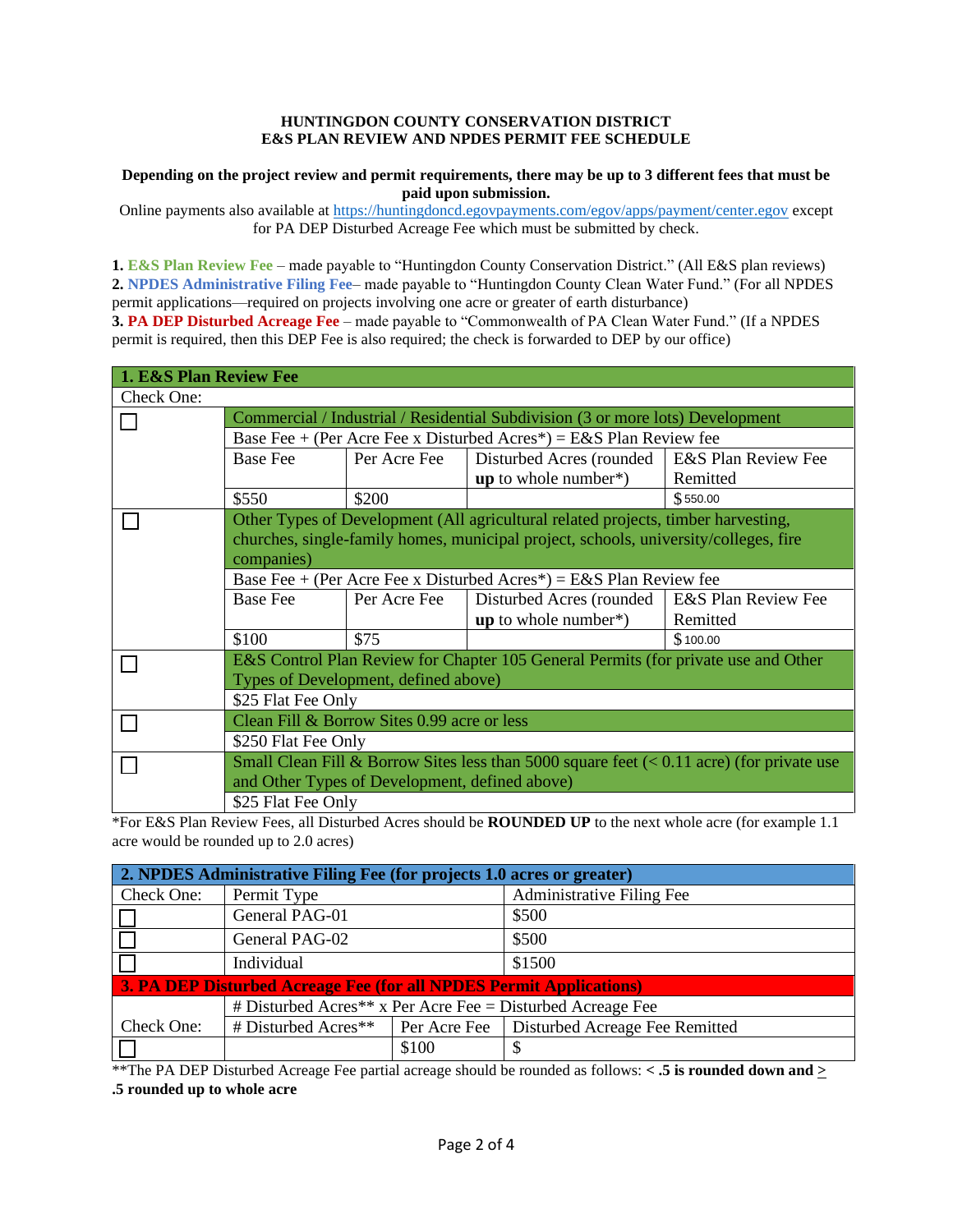## **HUNTINGDON COUNTY CONSERVATION DISTRICT E&S PLAN REVIEW AND NPDES PERMIT FEE SCHEDULE**

## **Depending on the project review and permit requirements, there may be up to 3 different fees that must be paid upon submission.**

Online payments also available at<https://huntingdoncd.egovpayments.com/egov/apps/payment/center.egov> except for PA DEP Disturbed Acreage Fee which must be submitted by check.

**1. E&S Plan Review Fee** – made payable to "Huntingdon County Conservation District." (All E&S plan reviews) **2. NPDES Administrative Filing Fee**– made payable to "Huntingdon County Clean Water Fund." (For all NPDES permit applications—required on projects involving one acre or greater of earth disturbance) **3. PA DEP Disturbed Acreage Fee** – made payable to "Commonwealth of PA Clean Water Fund." (If a NPDES permit is required, then this DEP Fee is also required; the check is forwarded to DEP by our office)

| 1. E&S Plan Review Fee |                                                                                             |              |                                                                    |                     |  |
|------------------------|---------------------------------------------------------------------------------------------|--------------|--------------------------------------------------------------------|---------------------|--|
| Check One:             |                                                                                             |              |                                                                    |                     |  |
|                        | Commercial / Industrial / Residential Subdivision (3 or more lots) Development              |              |                                                                    |                     |  |
|                        | Base Fee + (Per Acre Fee x Disturbed Acres <sup>*</sup> ) = E&S Plan Review fee             |              |                                                                    |                     |  |
|                        | <b>Base Fee</b>                                                                             | Per Acre Fee | Disturbed Acres (rounded                                           | E&S Plan Review Fee |  |
|                        |                                                                                             |              | $up$ to whole number*)                                             | Remitted            |  |
|                        | \$550                                                                                       | \$200        |                                                                    | \$550.00            |  |
|                        | Other Types of Development (All agricultural related projects, timber harvesting,           |              |                                                                    |                     |  |
|                        | churches, single-family homes, municipal project, schools, university/colleges, fire        |              |                                                                    |                     |  |
|                        | companies)                                                                                  |              |                                                                    |                     |  |
|                        |                                                                                             |              | Base Fee + (Per Acre Fee x Disturbed Acres*) = E&S Plan Review fee |                     |  |
|                        | <b>Base Fee</b>                                                                             | Per Acre Fee | Disturbed Acres (rounded)                                          | E&S Plan Review Fee |  |
|                        |                                                                                             |              | $up$ to whole number*)                                             | Remitted            |  |
|                        | \$100                                                                                       | \$75         |                                                                    | \$100.00            |  |
|                        | E&S Control Plan Review for Chapter 105 General Permits (for private use and Other          |              |                                                                    |                     |  |
|                        | Types of Development, defined above)                                                        |              |                                                                    |                     |  |
|                        | \$25 Flat Fee Only                                                                          |              |                                                                    |                     |  |
|                        | Clean Fill & Borrow Sites 0.99 acre or less                                                 |              |                                                                    |                     |  |
|                        | \$250 Flat Fee Only                                                                         |              |                                                                    |                     |  |
|                        | Small Clean Fill & Borrow Sites less than 5000 square feet $(< 0.11$ acre) (for private use |              |                                                                    |                     |  |
|                        | and Other Types of Development, defined above)                                              |              |                                                                    |                     |  |
|                        | \$25 Flat Fee Only                                                                          |              |                                                                    |                     |  |

\*For E&S Plan Review Fees, all Disturbed Acres should be **ROUNDED UP** to the next whole acre (for example 1.1 acre would be rounded up to 2.0 acres)

| 2. NPDES Administrative Filing Fee (for projects 1.0 acres or greater)     |                                                            |              |                                  |  |  |  |
|----------------------------------------------------------------------------|------------------------------------------------------------|--------------|----------------------------------|--|--|--|
| Check One:                                                                 | Permit Type                                                |              | <b>Administrative Filing Fee</b> |  |  |  |
|                                                                            | General PAG-01                                             |              | \$500                            |  |  |  |
|                                                                            | General PAG-02                                             |              | \$500                            |  |  |  |
|                                                                            | Individual                                                 |              | \$1500                           |  |  |  |
| <b>3. PA DEP Disturbed Acreage Fee (for all NPDES Permit Applications)</b> |                                                            |              |                                  |  |  |  |
|                                                                            | # Disturbed Acres** x Per Acre Fee = Disturbed Acreage Fee |              |                                  |  |  |  |
| Check One:                                                                 | # Disturbed Acres**                                        | Per Acre Fee | Disturbed Acreage Fee Remitted   |  |  |  |
|                                                                            |                                                            | \$100        |                                  |  |  |  |

\*\*The PA DEP Disturbed Acreage Fee partial acreage should be rounded as follows: **< .5 is rounded down and > .5 rounded up to whole acre**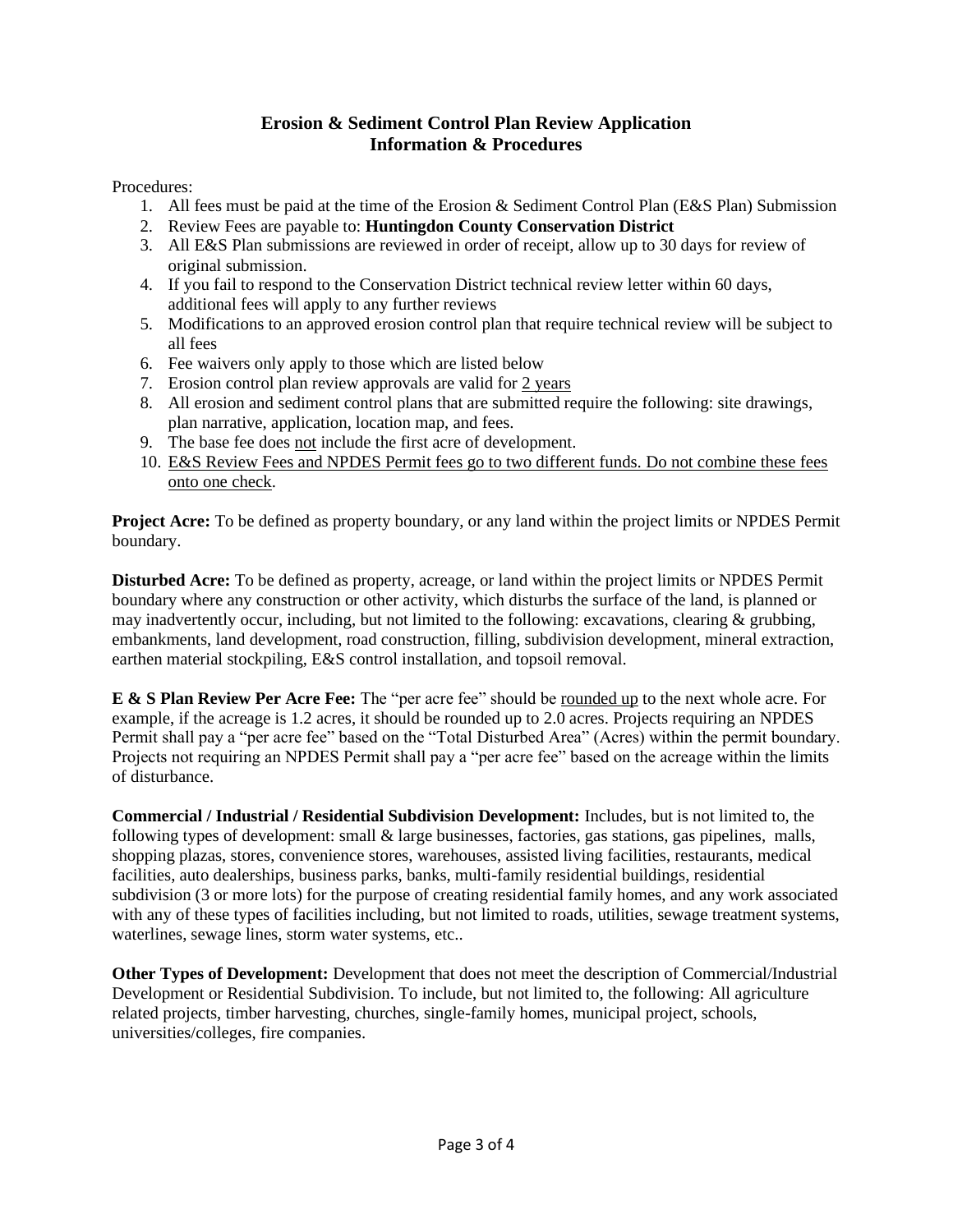## **Erosion & Sediment Control Plan Review Application Information & Procedures**

Procedures:

- 1. All fees must be paid at the time of the Erosion & Sediment Control Plan (E&S Plan) Submission
- 2. Review Fees are payable to: **Huntingdon County Conservation District**
- 3. All E&S Plan submissions are reviewed in order of receipt, allow up to 30 days for review of original submission.
- 4. If you fail to respond to the Conservation District technical review letter within 60 days, additional fees will apply to any further reviews
- 5. Modifications to an approved erosion control plan that require technical review will be subject to all fees
- 6. Fee waivers only apply to those which are listed below
- 7. Erosion control plan review approvals are valid for 2 years
- 8. All erosion and sediment control plans that are submitted require the following: site drawings, plan narrative, application, location map, and fees.
- 9. The base fee does not include the first acre of development.
- 10. E&S Review Fees and NPDES Permit fees go to two different funds. Do not combine these fees onto one check.

**Project Acre:** To be defined as property boundary, or any land within the project limits or NPDES Permit boundary.

**Disturbed Acre:** To be defined as property, acreage, or land within the project limits or NPDES Permit boundary where any construction or other activity, which disturbs the surface of the land, is planned or may inadvertently occur, including, but not limited to the following: excavations, clearing & grubbing, embankments, land development, road construction, filling, subdivision development, mineral extraction, earthen material stockpiling, E&S control installation, and topsoil removal.

**E & S Plan Review Per Acre Fee:** The "per acre fee" should be rounded up to the next whole acre. For example, if the acreage is 1.2 acres, it should be rounded up to 2.0 acres. Projects requiring an NPDES Permit shall pay a "per acre fee" based on the "Total Disturbed Area" (Acres) within the permit boundary. Projects not requiring an NPDES Permit shall pay a "per acre fee" based on the acreage within the limits of disturbance.

**Commercial / Industrial / Residential Subdivision Development:** Includes, but is not limited to, the following types of development: small & large businesses, factories, gas stations, gas pipelines, malls, shopping plazas, stores, convenience stores, warehouses, assisted living facilities, restaurants, medical facilities, auto dealerships, business parks, banks, multi-family residential buildings, residential subdivision (3 or more lots) for the purpose of creating residential family homes, and any work associated with any of these types of facilities including, but not limited to roads, utilities, sewage treatment systems, waterlines, sewage lines, storm water systems, etc..

**Other Types of Development:** Development that does not meet the description of Commercial/Industrial Development or Residential Subdivision. To include, but not limited to, the following: All agriculture related projects, timber harvesting, churches, single-family homes, municipal project, schools, universities/colleges, fire companies.